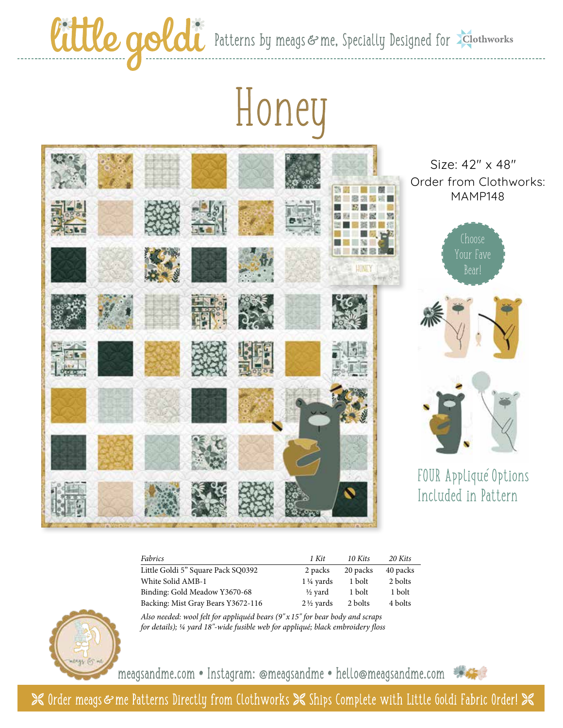Cittle goldi Patterns by meags & me, Specially Designed for Elothworks

## Honey



Size: 42" x 48" Order from Clothworks: MAMP148





FOUR Applique Options - Included in Pattern

| Fabrics                            | 1 Kit                | 10 Kits  | 20 Kits  |
|------------------------------------|----------------------|----------|----------|
| Little Goldi 5" Square Pack SQ0392 | 2 packs              | 20 packs | 40 packs |
| White Solid AMB-1                  | $1\frac{1}{4}$ vards | 1 bolt   | 2 bolts  |
| Binding: Gold Meadow Y3670-68      | ½ vard               | 1 bolt   | 1 bolt   |
| Backing: Mist Gray Bears Y3672-116 | $2\frac{1}{2}$ yards | 2 bolts  | 4 bolts  |



*Also needed: wool felt for appliquéd bears (9" x 15" for bear body and scraps for details); ¼ yard 18"-wide fusible web for appliqué; black embroidery floss*

meagsandme.com **•** Instagram: @meagsandme **•** hello@meagsandme.com



**X** Order meags & me Patterns Directly from Clothworks  $\mathbb X$  Ships Complete with Little Goldi Fabric Order!  $\mathbb X$